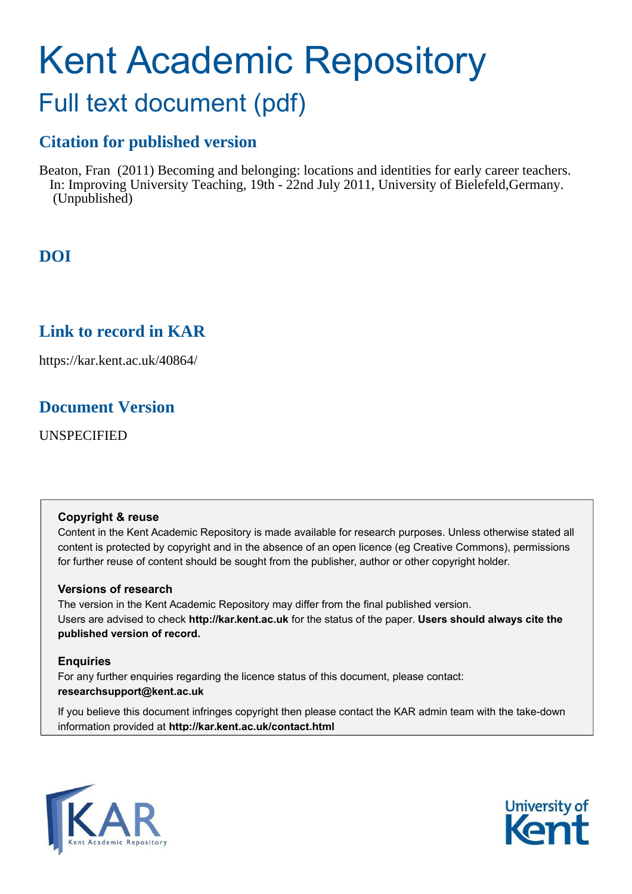# Kent Academic Repository

### Full text document (pdf)

### **Citation for published version**

Beaton, Fran (2011) Becoming and belonging: locations and identities for early career teachers. In: Improving University Teaching, 19th - 22nd July 2011, University of Bielefeld,Germany. (Unpublished)

### **DOI**

### **Link to record in KAR**

https://kar.kent.ac.uk/40864/

### **Document Version**

UNSPECIFIED

#### **Copyright & reuse**

Content in the Kent Academic Repository is made available for research purposes. Unless otherwise stated all content is protected by copyright and in the absence of an open licence (eg Creative Commons), permissions for further reuse of content should be sought from the publisher, author or other copyright holder.

#### **Versions of research**

The version in the Kent Academic Repository may differ from the final published version. Users are advised to check **http://kar.kent.ac.uk** for the status of the paper. **Users should always cite the published version of record.**

#### **Enquiries**

For any further enquiries regarding the licence status of this document, please contact: **researchsupport@kent.ac.uk**

If you believe this document infringes copyright then please contact the KAR admin team with the take-down information provided at **http://kar.kent.ac.uk/contact.html**



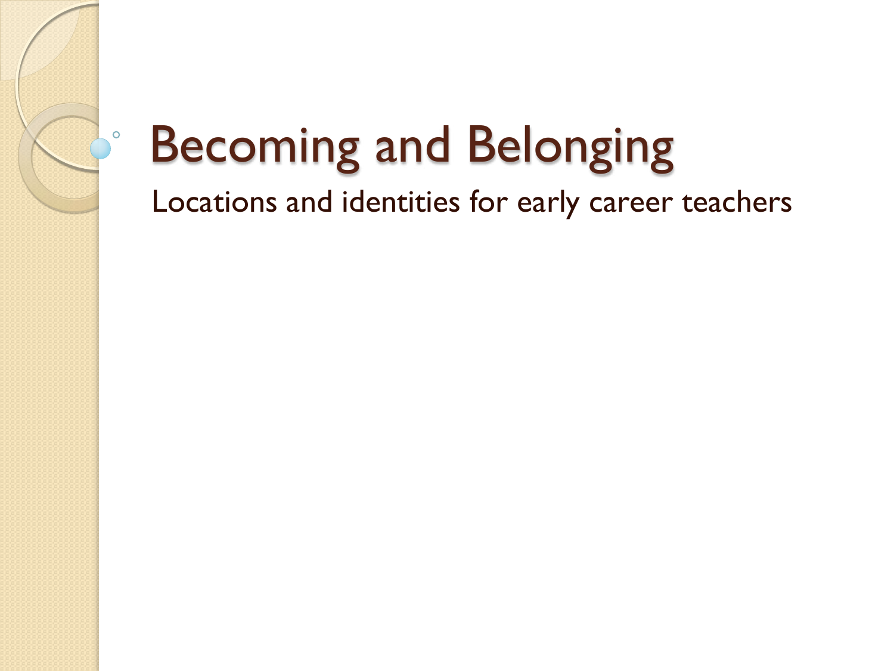## Becoming and Belonging

 $\circ$ 

Locations and identities for early career teachers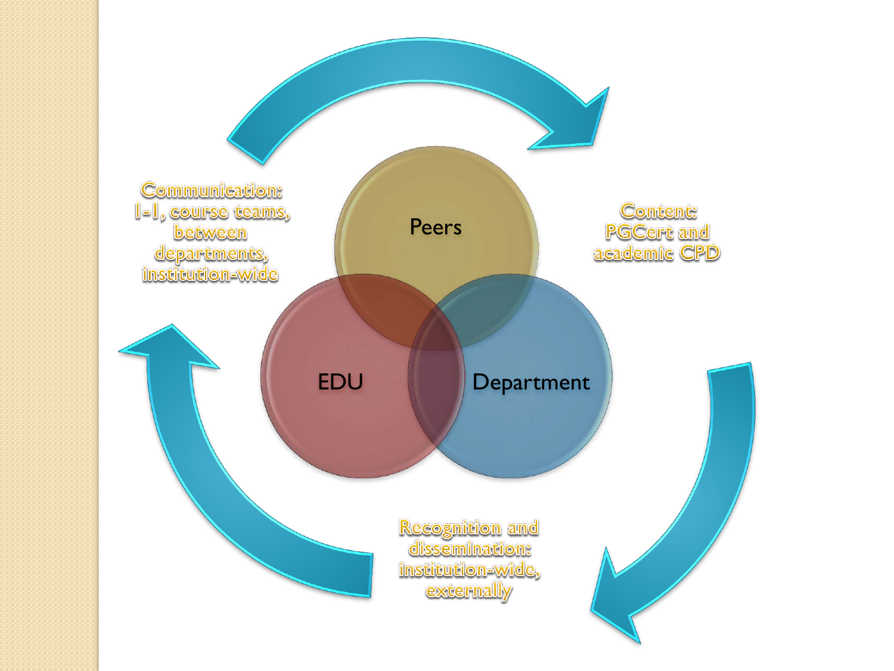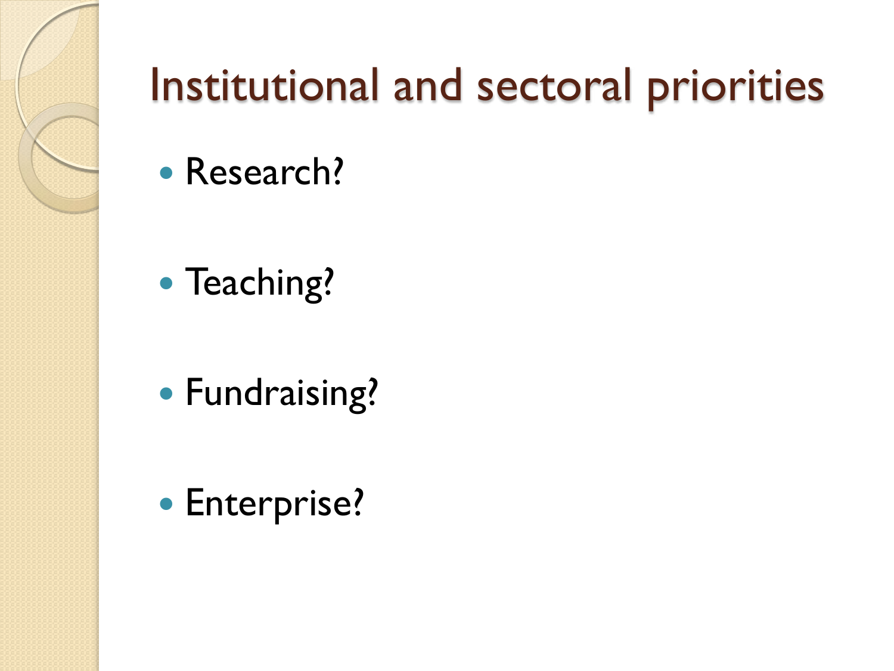

### Institutional and sectoral priorities

- Research?
- Teaching?
- Fundraising?
- **Enterprise?**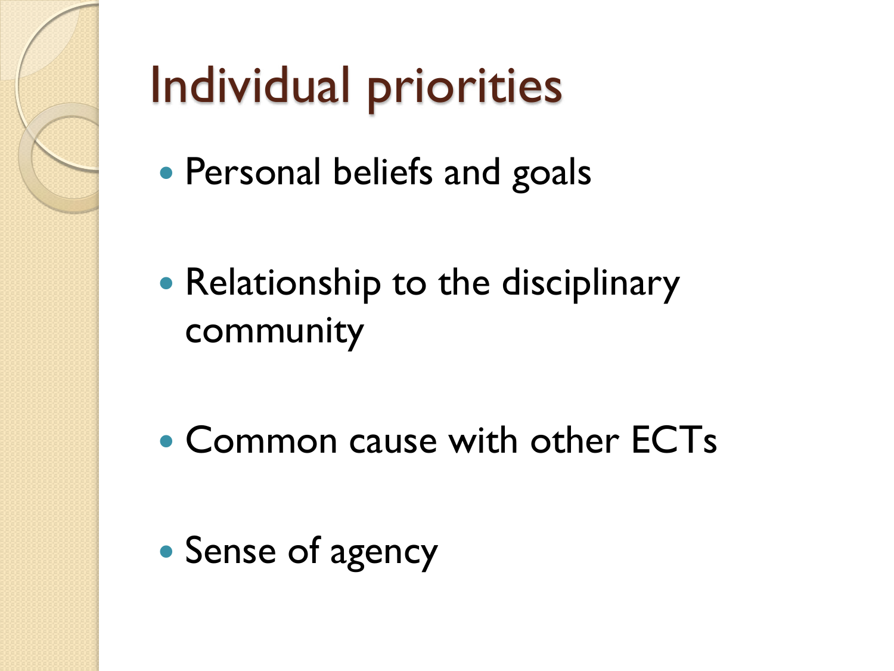

## Individual priorities

- Personal beliefs and goals
- Relationship to the disciplinary community
- Common cause with other ECTs
- Sense of agency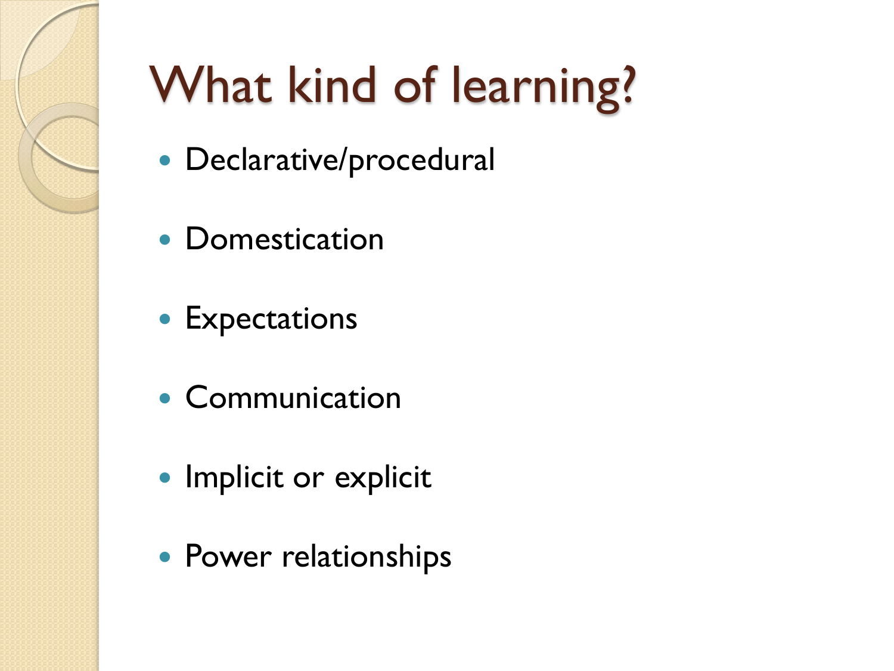

## What kind of learning?

- Declarative/procedural
- Domestication
- **Expectations**
- Communication
- Implicit or explicit
- Power relationships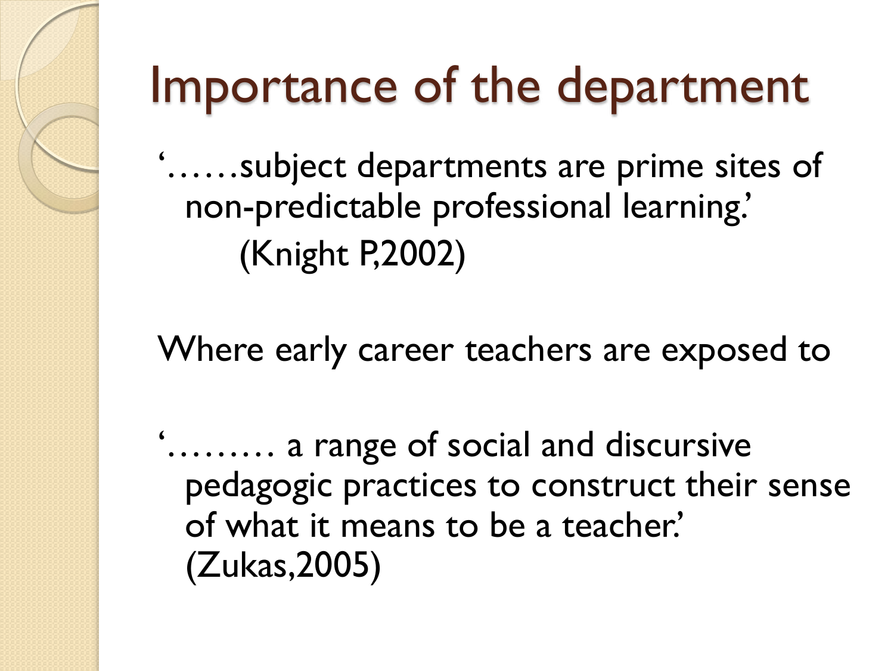## Importance of the department

'……subject departments are prime sites of non-predictable professional learning.' (Knight P,2002)

Where early career teachers are exposed to

'……… a range of social and discursive pedagogic practices to construct their sense of what it means to be a teacher.' (Zukas,2005)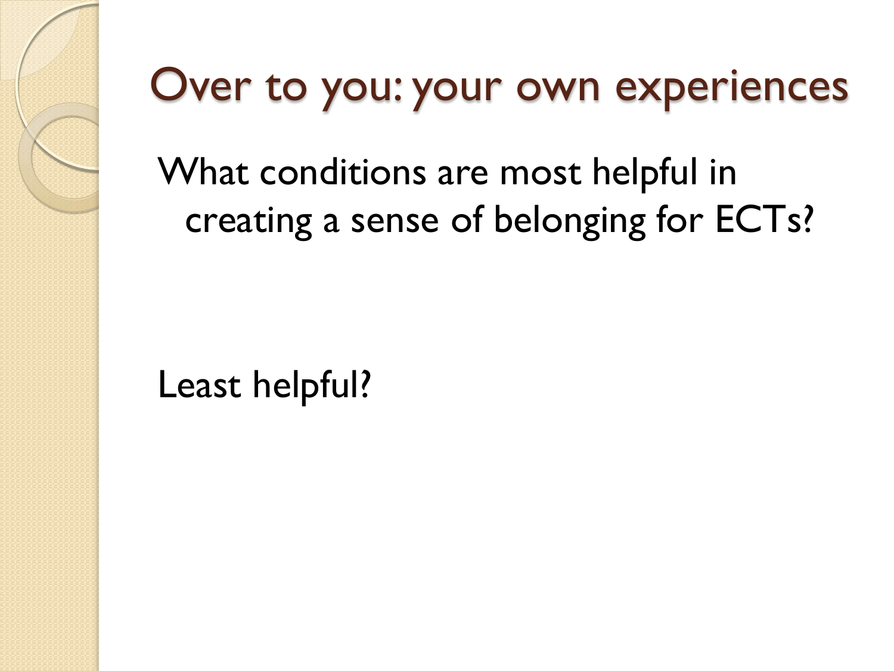### Over to you: your own experiences

What conditions are most helpful in creating a sense of belonging for ECTs?

Least helpful?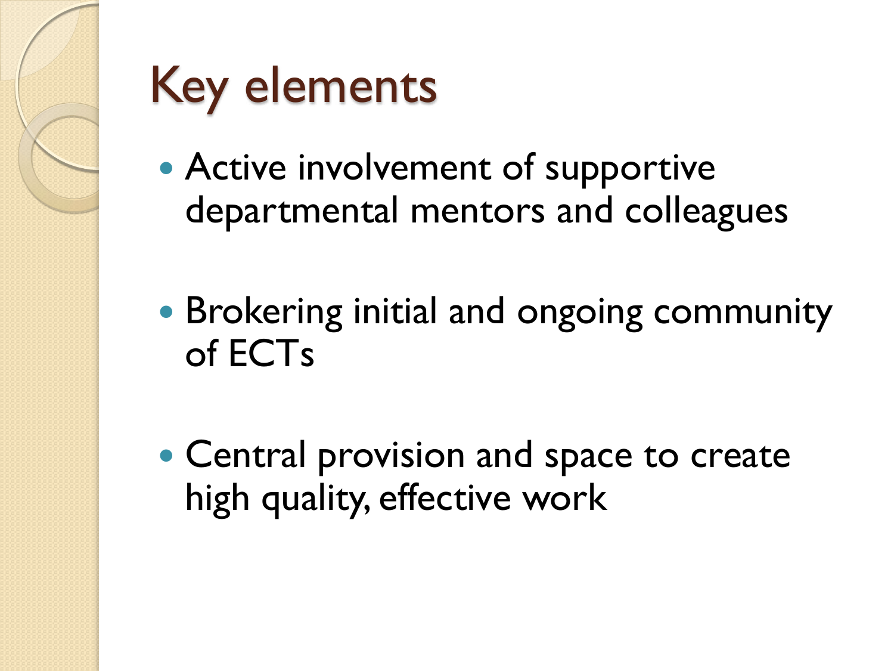

## Key elements

- Active involvement of supportive departmental mentors and colleagues
- Brokering initial and ongoing community of ECTs
- Central provision and space to create high quality, effective work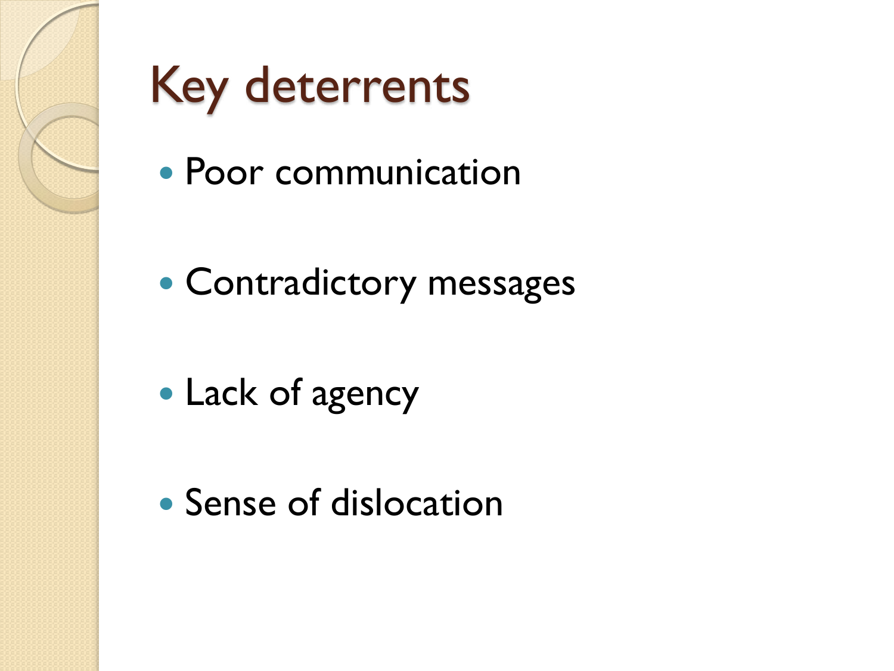

### Key deterrents

- Poor communication
- Contradictory messages
- Lack of agency
- Sense of dislocation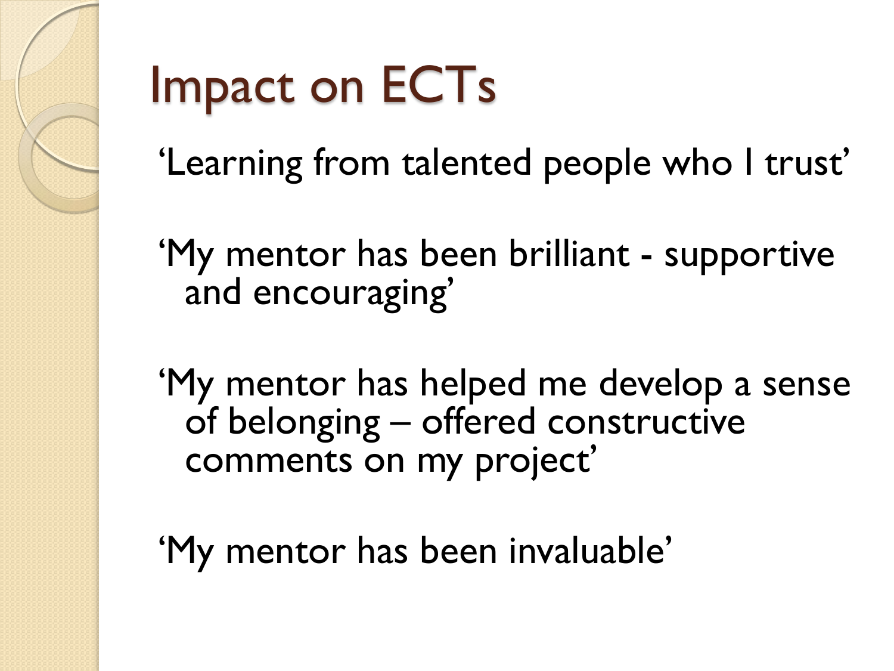

## Impact on ECTs

'Learning from talented people who I trust'

'My mentor has been brilliant - supportive and encouraging'

'My mentor has helped me develop a sense of belonging – offered constructive comments on my project'

'My mentor has been invaluable'